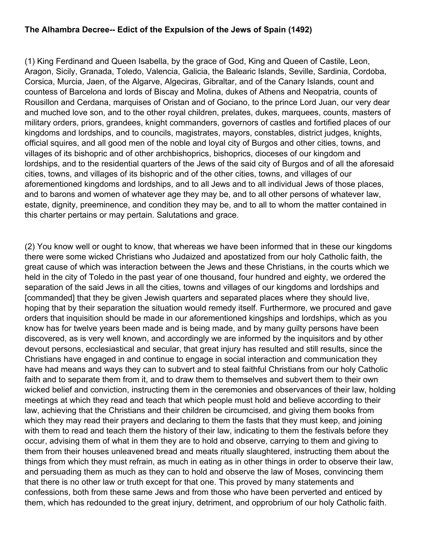## **The Alhambra Decree-- Edict of the Expulsion of the Jews of Spain (1492)**

(1) King Ferdinand and Queen Isabella, by the grace of God, King and Queen of Castile, Leon, Aragon, Sicily, Granada, Toledo, Valencia, Galicia, the Balearic Islands, Seville, Sardinia, Cordoba, Corsica, Murcia, Jaen, of the Algarve, Algeciras, Gibraltar, and of the Canary Islands, count and countess of Barcelona and lords of Biscay and Molina, dukes of Athens and Neopatria, counts of Rousillon and Cerdana, marquises of Oristan and of Gociano, to the prince Lord Juan, our very dear and muched love son, and to the other royal children, prelates, dukes, marquees, counts, masters of military orders, priors, grandees, knight commanders, governors of castles and fortified places of our kingdoms and lordships, and to councils, magistrates, mayors, constables, district judges, knights, official squires, and all good men of the noble and loyal city of Burgos and other cities, towns, and villages of its bishopric and of other archbishoprics, bishoprics, dioceses of our kingdom and lordships, and to the residential quarters of the Jews of the said city of Burgos and of all the aforesaid cities, towns, and villages of its bishopric and of the other cities, towns, and villages of our aforementioned kingdoms and lordships, and to all Jews and to all individual Jews of those places, and to barons and women of whatever age they may be, and to all other persons of whatever law, estate, dignity, preeminence, and condition they may be, and to all to whom the matter contained in this charter pertains or may pertain. Salutations and grace.

(2) You know well or ought to know, that whereas we have been informed that in these our kingdoms there were some wicked Christians who Judaized and apostatized from our holy Catholic faith, the great cause of which was interaction between the Jews and these Christians, in the courts which we held in the city of Toledo in the past year of one thousand, four hundred and eighty, we ordered the separation of the said Jews in all the cities, towns and villages of our kingdoms and lordships and [commanded] that they be given Jewish quarters and separated places where they should live, hoping that by their separation the situation would remedy itself. Furthermore, we procured and gave orders that inquisition should be made in our aforementioned kingships and lordships, which as you know has for twelve years been made and is being made, and by many guilty persons have been discovered, as is very well known, and accordingly we are informed by the inquisitors and by other devout persons, ecclesiastical and secular, that great injury has resulted and still results, since the Christians have engaged in and continue to engage in social interaction and communication they have had means and ways they can to subvert and to steal faithful Christians from our holy Catholic faith and to separate them from it, and to draw them to themselves and subvert them to their own wicked belief and conviction, instructing them in the ceremonies and observances of their law, holding meetings at which they read and teach that which people must hold and believe according to their law, achieving that the Christians and their children be circumcised, and giving them books from which they may read their prayers and declaring to them the fasts that they must keep, and joining with them to read and teach them the history of their law, indicating to them the festivals before they occur, advising them of what in them they are to hold and observe, carrying to them and giving to them from their houses unleavened bread and meats ritually slaughtered, instructing them about the things from which they must refrain, as much in eating as in other things in order to observe their law, and persuading them as much as they can to hold and observe the law of Moses, convincing them that there is no other law or truth except for that one. This proved by many statements and confessions, both from these same Jews and from those who have been perverted and enticed by them, which has redounded to the great injury, detriment, and opprobrium of our holy Catholic faith.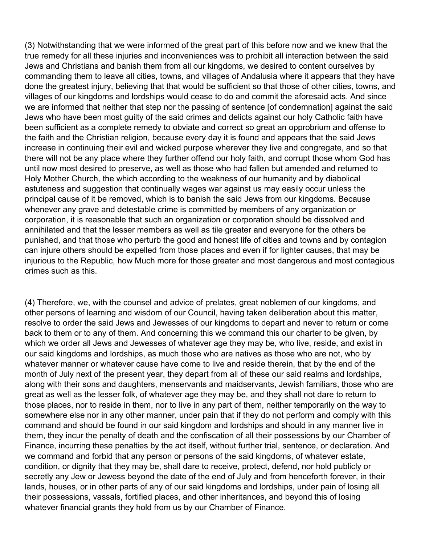(3) Notwithstanding that we were informed of the great part of this before now and we knew that the true remedy for all these injuries and inconveniences was to prohibit all interaction between the said Jews and Christians and banish them from all our kingdoms, we desired to content ourselves by commanding them to leave all cities, towns, and villages of Andalusia where it appears that they have done the greatest injury, believing that that would be sufficient so that those of other cities, towns, and villages of our kingdoms and lordships would cease to do and commit the aforesaid acts. And since we are informed that neither that step nor the passing of sentence [of condemnation] against the said Jews who have been most guilty of the said crimes and delicts against our holy Catholic faith have been sufficient as a complete remedy to obviate and correct so great an opprobrium and offense to the faith and the Christian religion, because every day it is found and appears that the said Jews increase in continuing their evil and wicked purpose wherever they live and congregate, and so that there will not be any place where they further offend our holy faith, and corrupt those whom God has until now most desired to preserve, as well as those who had fallen but amended and returned to Holy Mother Church, the which according to the weakness of our humanity and by diabolical astuteness and suggestion that continually wages war against us may easily occur unless the principal cause of it be removed, which is to banish the said Jews from our kingdoms. Because whenever any grave and detestable crime is committed by members of any organization or corporation, it is reasonable that such an organization or corporation should be dissolved and annihilated and that the lesser members as well as tile greater and everyone for the others be punished, and that those who perturb the good and honest life of cities and towns and by contagion can injure others should be expelled from those places and even if for lighter causes, that may be injurious to the Republic, how Much more for those greater and most dangerous and most contagious crimes such as this.

(4) Therefore, we, with the counsel and advice of prelates, great noblemen of our kingdoms, and other persons of learning and wisdom of our Council, having taken deliberation about this matter, resolve to order the said Jews and Jewesses of our kingdoms to depart and never to return or come back to them or to any of them. And concerning this we command this our charter to be given, by which we order all Jews and Jewesses of whatever age they may be, who live, reside, and exist in our said kingdoms and lordships, as much those who are natives as those who are not, who by whatever manner or whatever cause have come to live and reside therein, that by the end of the month of July next of the present year, they depart from all of these our said realms and lordships, along with their sons and daughters, menservants and maidservants, Jewish familiars, those who are great as well as the lesser folk, of whatever age they may be, and they shall not dare to return to those places, nor to reside in them, nor to live in any part of them, neither temporarily on the way to somewhere else nor in any other manner, under pain that if they do not perform and comply with this command and should be found in our said kingdom and lordships and should in any manner live in them, they incur the penalty of death and the confiscation of all their possessions by our Chamber of Finance, incurring these penalties by the act itself, without further trial, sentence, or declaration. And we command and forbid that any person or persons of the said kingdoms, of whatever estate, condition, or dignity that they may be, shall dare to receive, protect, defend, nor hold publicly or secretly any Jew or Jewess beyond the date of the end of July and from henceforth forever, in their lands, houses, or in other parts of any of our said kingdoms and lordships, under pain of losing all their possessions, vassals, fortified places, and other inheritances, and beyond this of losing whatever financial grants they hold from us by our Chamber of Finance.